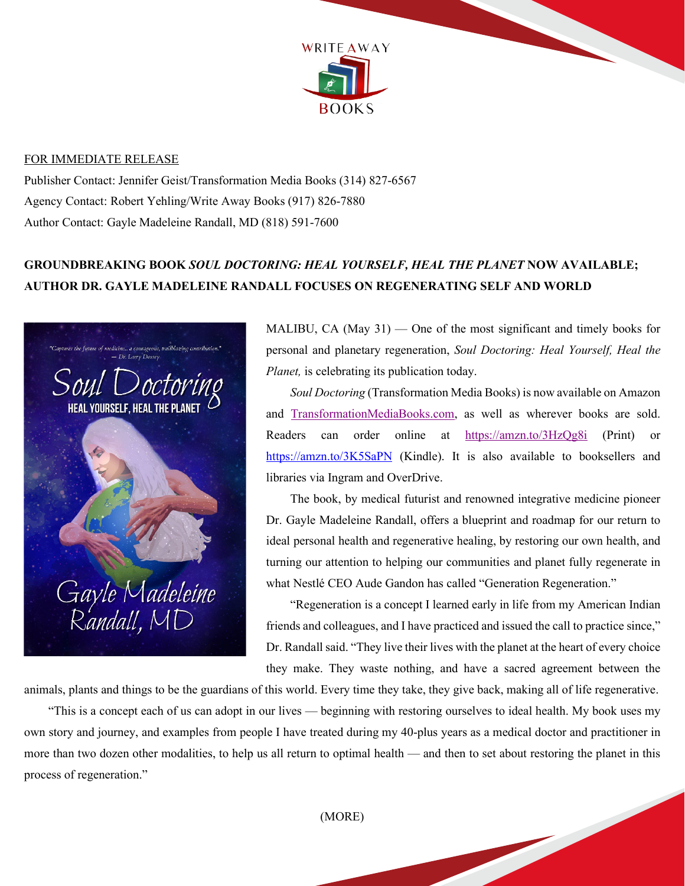

## FOR IMMEDIATE RELEASE

Publisher Contact: Jennifer Geist/Transformation Media Books (314) 827-6567 Agency Contact: Robert Yehling/Write Away Books (917) 826-7880 Author Contact: Gayle Madeleine Randall, MD (818) 591-7600

## **GROUNDBREAKING BOOK** *SOUL DOCTORING: HEAL YOURSELF, HEAL THE PLANET* **NOW AVAILABLE; AUTHOR DR. GAYLE MADELEINE RANDALL FOCUSES ON REGENERATING SELF AND WORLD**



MALIBU, CA  $(May 31)$  — One of the most significant and timely books for personal and planetary regeneration, *Soul Doctoring: Heal Yourself, Heal the Planet,* is celebrating its publication today.

*Soul Doctoring* (Transformation Media Books) is now available on Amazon and [TransformationMediaBooks.com,](http://transformationmediabooks.com/soul-doctoring) as well as wherever books are sold. Readers can order online at <https://amzn.to/3HzQg8i> (Print) or <https://amzn.to/3K5SaPN> (Kindle). It is also available to booksellers and libraries via Ingram and OverDrive.

The book, by medical futurist and renowned integrative medicine pioneer Dr. Gayle Madeleine Randall, offers a blueprint and roadmap for our return to ideal personal health and regenerative healing, by restoring our own health, and turning our attention to helping our communities and planet fully regenerate in what Nestlé CEO Aude Gandon has called "Generation Regeneration."

"Regeneration is a concept I learned early in life from my American Indian friends and colleagues, and I have practiced and issued the call to practice since," Dr. Randall said. "They live their lives with the planet at the heart of every choice they make. They waste nothing, and have a sacred agreement between the

animals, plants and things to be the guardians of this world. Every time they take, they give back, making all of life regenerative.

"This is a concept each of us can adopt in our lives — beginning with restoring ourselves to ideal health. My book uses my own story and journey, and examples from people I have treated during my 40-plus years as a medical doctor and practitioner in more than two dozen other modalities, to help us all return to optimal health — and then to set about restoring the planet in this process of regeneration."